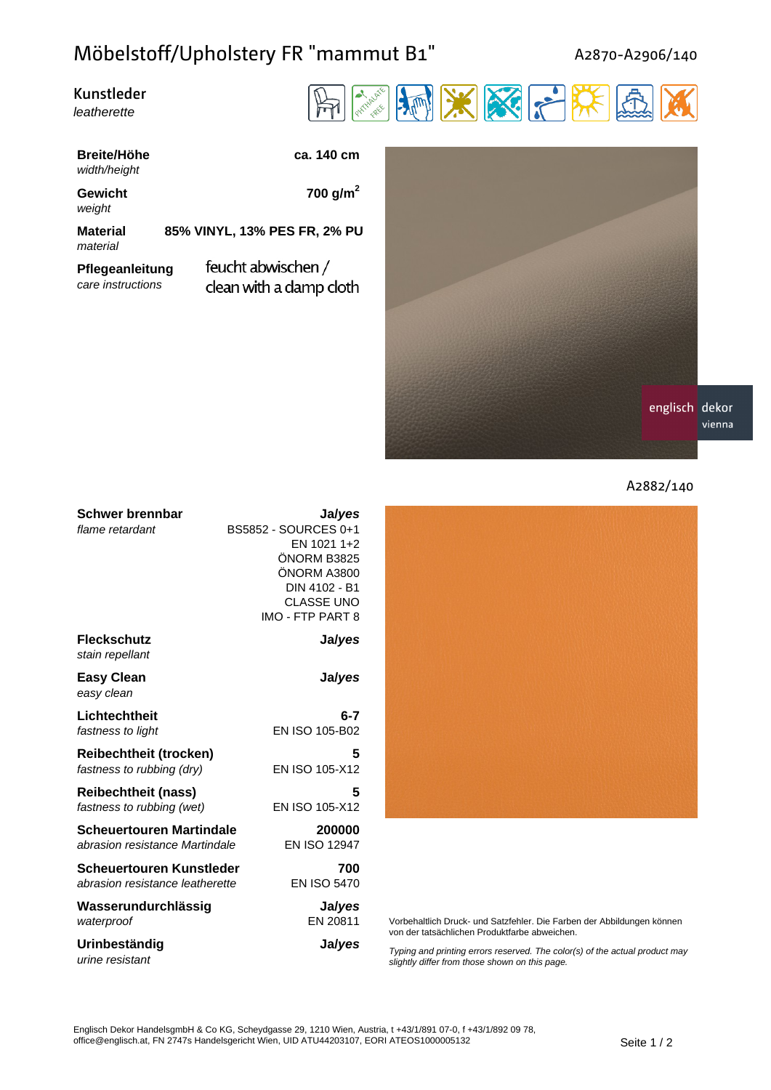## Möbelstoff/Upholstery FR "mammut B1"

A2870-A2906/140

| Kunstleder  |  |
|-------------|--|
| leatherette |  |



**Breite/Höhe ca. 140 cm** width/height

weight

**Gewicht 700 g/m<sup>2</sup>**

material

**Material 85% VINYL, 13% PES FR, 2% PU**

**Pflegeanleitung** care instructions

feucht abwischen / clean with a damp cloth





| <b>Schwer brennbar</b>          | Ja/yes               |
|---------------------------------|----------------------|
| flame retardant                 | BS5852 - SOURCES 0+1 |
|                                 | EN 1021 1+2          |
|                                 | ÖNORM B3825          |
|                                 | ÖNORM A3800          |
|                                 | DIN 4102 - B1        |
|                                 | <b>CLASSE UNO</b>    |
|                                 | IMO - FTP PART 8     |
| <b>Fleckschutz</b>              | Ja/yes               |
| stain repellant                 |                      |
| <b>Easy Clean</b>               | Ja/yes               |
| easy clean                      |                      |
| Lichtechtheit                   | $6-7$                |
| fastness to light               | EN ISO 105-B02       |
| <b>Reibechtheit (trocken)</b>   | 5                    |
| fastness to rubbing (dry)       | EN ISO 105-X12       |
| <b>Reibechtheit (nass)</b>      | 5                    |
| fastness to rubbing (wet)       | EN ISO 105-X12       |
| Scheuertouren Martindale        | 200000               |
| abrasion resistance Martindale  | <b>EN ISO 12947</b>  |
| Scheuertouren Kunstleder        | 700                  |
| abrasion resistance leatherette | <b>EN ISO 5470</b>   |
| Wasserundurchlässig             | Ja/yes               |
| waterproof                      | EN 20811             |
| Urinbeständig                   | Ja/yes               |
| urine resistant                 |                      |



Vorbehaltlich Druck- und Satzfehler. Die Farben der Abbildungen können von der tatsächlichen Produktfarbe abweichen.

Typing and printing errors reserved. The color(s) of the actual product may slightly differ from those shown on this page.